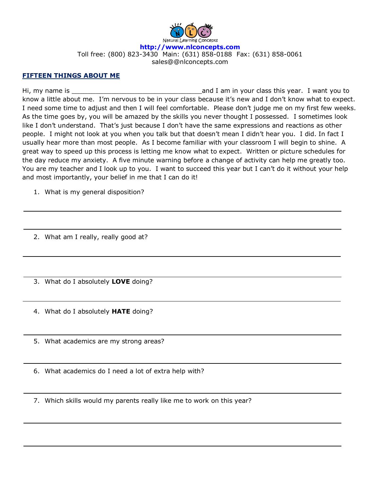

## **FIFTEEN THINGS ABOUT ME**

Hi, my name is \_\_\_\_\_\_\_\_\_\_\_\_\_\_\_\_\_\_\_\_\_\_\_\_\_\_\_\_\_\_\_\_\_and I am in your class this year. I want you to know a little about me. I'm nervous to be in your class because it's new and I don't know what to expect. I need some time to adjust and then I will feel comfortable. Please don't judge me on my first few weeks. As the time goes by, you will be amazed by the skills you never thought I possessed. I sometimes look like I don't understand. That's just because I don't have the same expressions and reactions as other people. I might not look at you when you talk but that doesn't mean I didn't hear you. I did. In fact I usually hear more than most people. As I become familiar with your classroom I will begin to shine. A great way to speed up this process is letting me know what to expect. Written or picture schedules for the day reduce my anxiety. A five minute warning before a change of activity can help me greatly too. You are my teacher and I look up to you. I want to succeed this year but I can't do it without your help and most importantly, your belief in me that I can do it!

1. What is my general disposition?

2. What am I really, really good at?

3. What do I absolutely **LOVE** doing?

4. What do I absolutely **HATE** doing?

5. What academics are my strong areas?

6. What academics do I need a lot of extra help with?

7. Which skills would my parents really like me to work on this year?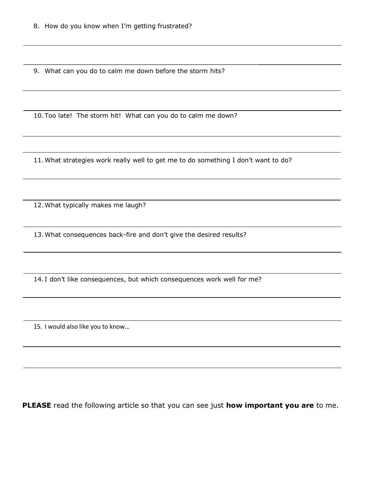9. What can you do to calm me down before the storm hits?

10.Too late! The storm hit! What can you do to calm me down?

11.What strategies work really well to get me to do something I don't want to do?

12.What typically makes me laugh?

13.What consequences back-fire and don't give the desired results?

14. I don't like consequences, but which consequences work well for me?

15. I would also like you to know…

**PLEASE** read the following article so that you can see just **how important you are** to me.